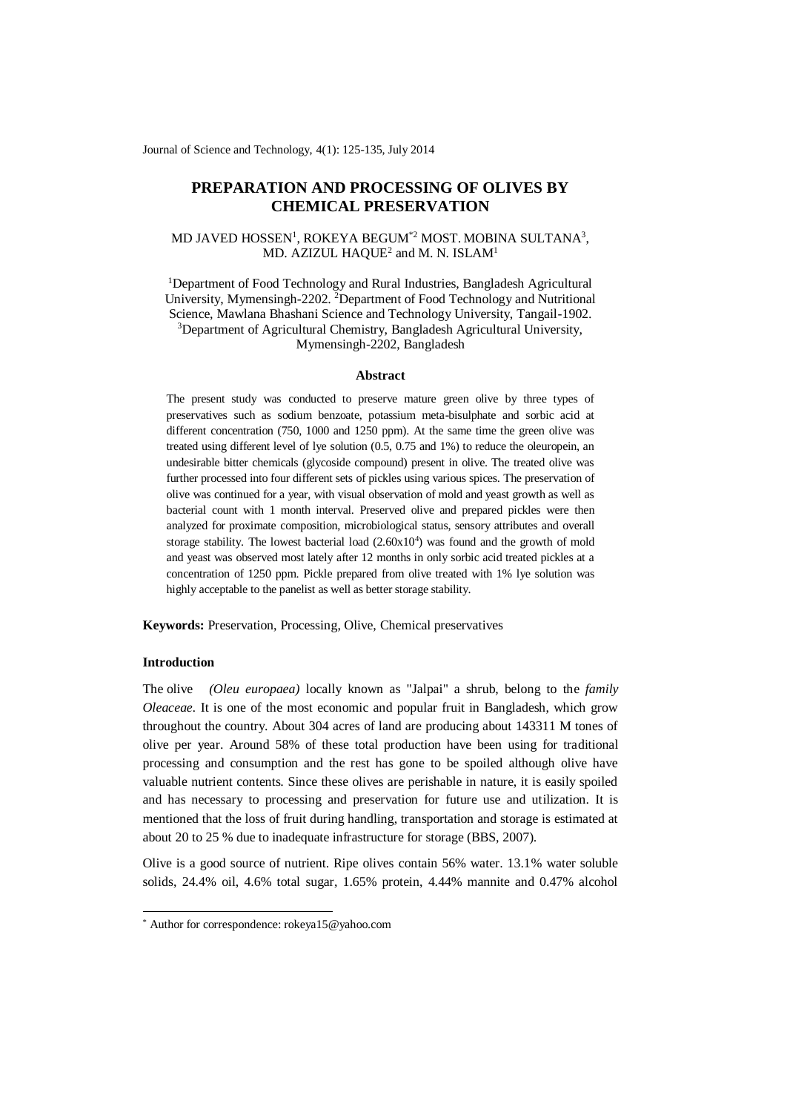Journal of Science and Technology, 4(1): 125-135, July 2014

# **PREPARATION AND PROCESSING OF OLIVES BY CHEMICAL PRESERVATION**

## MD JAVED HOSSEN<sup>1</sup>, ROKEYA BEGUM<sup>\*2</sup> MOST. MOBINA SULTANA<sup>3</sup>, MD. AZIZUL  $HAQUE<sup>2</sup>$  and M. N. ISLAM $<sup>1</sup>$ </sup>

<sup>1</sup>Department of Food Technology and Rural Industries, Bangladesh Agricultural University, Mymensingh-2202. <sup>2</sup>Department of Food Technology and Nutritional Science, Mawlana Bhashani Science and Technology University, Tangail-1902. <sup>3</sup>Department of Agricultural Chemistry, Bangladesh Agricultural University, Mymensingh-2202, Bangladesh

#### **Abstract**

The present study was conducted to preserve mature green olive by three types of preservatives such as sodium benzoate, potassium meta-bisulphate and sorbic acid at different concentration (750, 1000 and 1250 ppm). At the same time the green olive was treated using different level of lye solution (0.5, 0.75 and 1%) to reduce the oleuropein, an undesirable bitter chemicals (glycoside compound) present in olive. The treated olive was further processed into four different sets of pickles using various spices. The preservation of olive was continued for a year, with visual observation of mold and yeast growth as well as bacterial count with 1 month interval. Preserved olive and prepared pickles were then analyzed for proximate composition, microbiological status, sensory attributes and overall storage stability. The lowest bacterial load  $(2.60x10<sup>4</sup>)$  was found and the growth of mold and yeast was observed most lately after 12 months in only sorbic acid treated pickles at a concentration of 1250 ppm. Pickle prepared from olive treated with 1% lye solution was highly acceptable to the panelist as well as better storage stability.

**Keywords:** Preservation, Processing, Olive, Chemical preservatives

## **Introduction**

-

The olive *(Oleu europaea)* locally known as "Jalpai" a shrub, belong to the *family Oleaceae.* It is one of the most economic and popular fruit in Bangladesh, which grow throughout the country. About 304 acres of land are producing about 143311 M tones of olive per year. Around 58% of these total production have been using for traditional processing and consumption and the rest has gone to be spoiled although olive have valuable nutrient contents. Since these olives are perishable in nature, it is easily spoiled and has necessary to processing and preservation for future use and utilization. It is mentioned that the loss of fruit during handling, transportation and storage is estimated at about 20 to 25 % due to inadequate infrastructure for storage (BBS, 2007).

Olive is a good source of nutrient. Ripe olives contain 56% water. 13.1% water soluble solids, 24.4% oil, 4.6% total sugar, 1.65% protein, 4.44% mannite and 0.47% alcohol

<sup>\*</sup> Author for correspondence: rokeya15@yahoo.com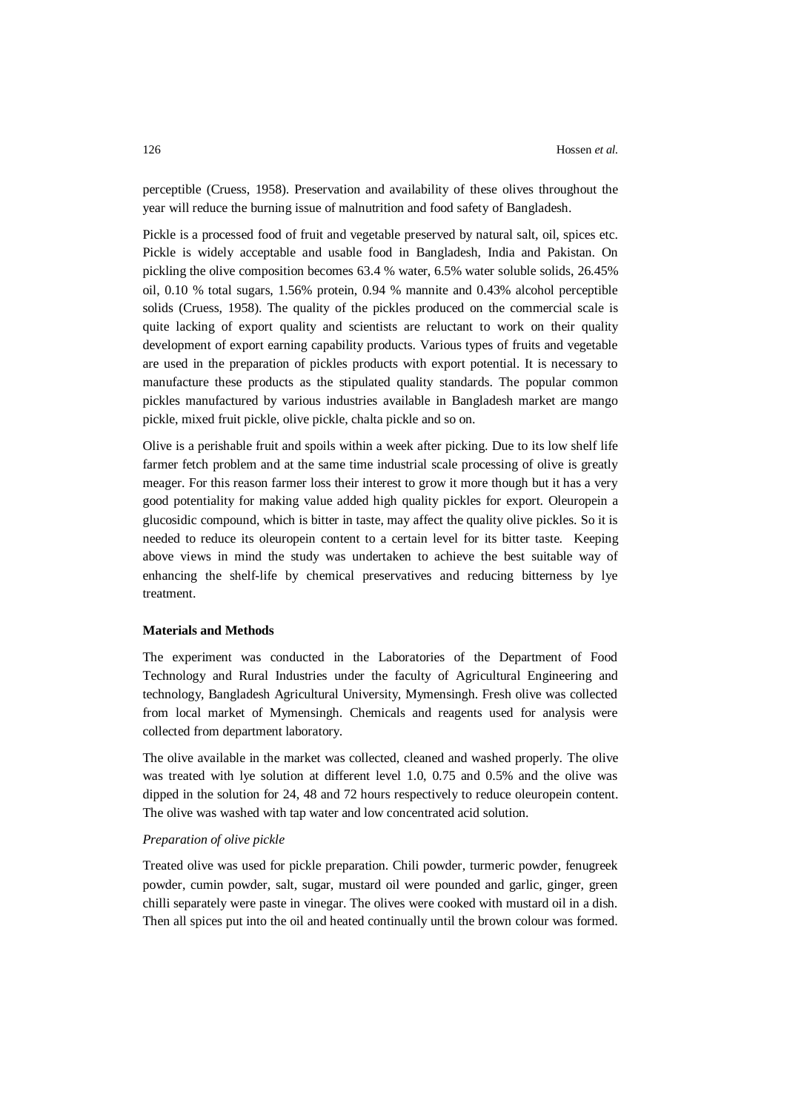perceptible (Cruess, 1958). Preservation and availability of these olives throughout the year will reduce the burning issue of malnutrition and food safety of Bangladesh.

Pickle is a processed food of fruit and vegetable preserved by natural salt, oil, spices etc. Pickle is widely acceptable and usable food in Bangladesh, India and Pakistan. On pickling the olive composition becomes 63.4 % water, 6.5% water soluble solids, 26.45% oil, 0.10 % total sugars, 1.56% protein, 0.94 % mannite and 0.43% alcohol perceptible solids (Cruess, 1958). The quality of the pickles produced on the commercial scale is quite lacking of export quality and scientists are reluctant to work on their quality development of export earning capability products. Various types of fruits and vegetable are used in the preparation of pickles products with export potential. It is necessary to manufacture these products as the stipulated quality standards. The popular common pickles manufactured by various industries available in Bangladesh market are mango pickle, mixed fruit pickle, olive pickle, chalta pickle and so on.

Olive is a perishable fruit and spoils within a week after picking. Due to its low shelf life farmer fetch problem and at the same time industrial scale processing of olive is greatly meager. For this reason farmer loss their interest to grow it more though but it has a very good potentiality for making value added high quality pickles for export. Oleuropein a glucosidic compound, which is bitter in taste, may affect the quality olive pickles. So it is needed to reduce its oleuropein content to a certain level for its bitter taste. Keeping above views in mind the study was undertaken to achieve the best suitable way of enhancing the shelf-life by chemical preservatives and reducing bitterness by lye treatment.

## **Materials and Methods**

The experiment was conducted in the Laboratories of the Department of Food Technology and Rural Industries under the faculty of Agricultural Engineering and technology, Bangladesh Agricultural University, Mymensingh. Fresh olive was collected from local market of Mymensingh. Chemicals and reagents used for analysis were collected from department laboratory.

The olive available in the market was collected, cleaned and washed properly. The olive was treated with lye solution at different level 1.0, 0.75 and 0.5% and the olive was dipped in the solution for 24, 48 and 72 hours respectively to reduce oleuropein content. The olive was washed with tap water and low concentrated acid solution.

#### *Preparation of olive pickle*

Treated olive was used for pickle preparation. Chili powder, turmeric powder, fenugreek powder, cumin powder, salt, sugar, mustard oil were pounded and garlic, ginger, green chilli separately were paste in vinegar. The olives were cooked with mustard oil in a dish. Then all spices put into the oil and heated continually until the brown colour was formed.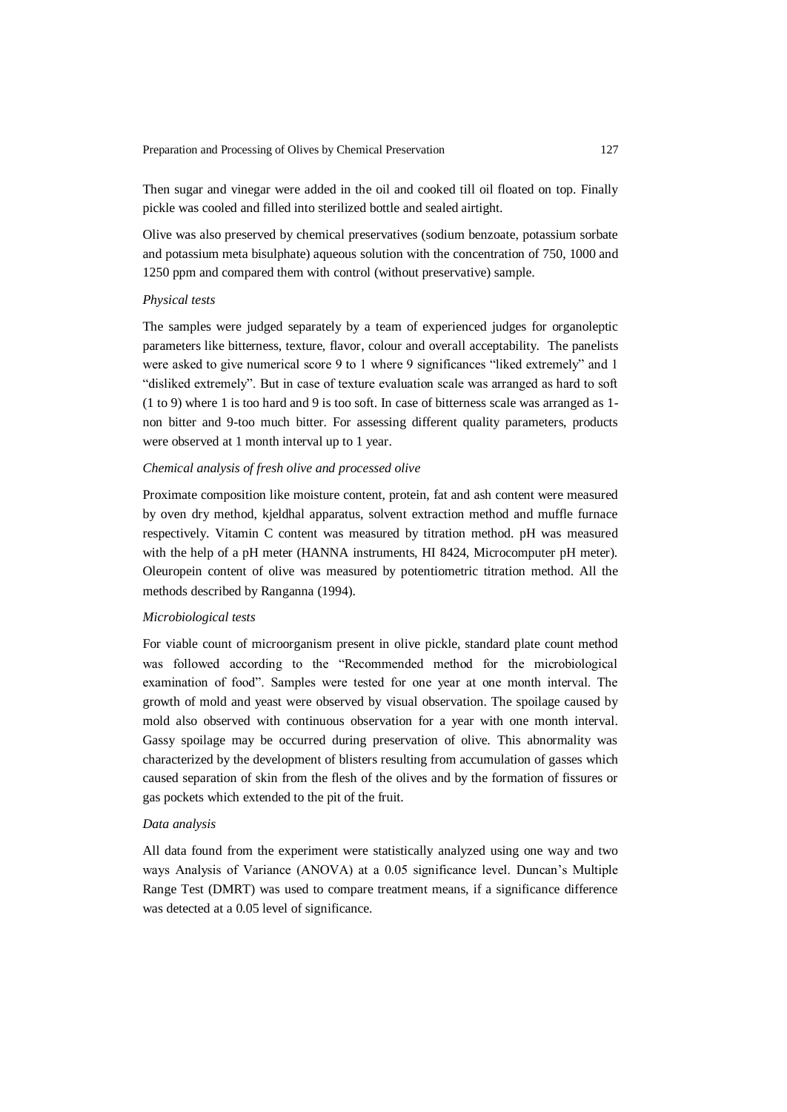Then sugar and vinegar were added in the oil and cooked till oil floated on top. Finally pickle was cooled and filled into sterilized bottle and sealed airtight.

Olive was also preserved by chemical preservatives (sodium benzoate, potassium sorbate and potassium meta bisulphate) aqueous solution with the concentration of 750, 1000 and 1250 ppm and compared them with control (without preservative) sample.

#### *Physical tests*

The samples were judged separately by a team of experienced judges for organoleptic parameters like bitterness, texture, flavor, colour and overall acceptability. The panelists were asked to give numerical score 9 to 1 where 9 significances "liked extremely" and 1 "disliked extremely". But in case of texture evaluation scale was arranged as hard to soft (1 to 9) where 1 is too hard and 9 is too soft. In case of bitterness scale was arranged as 1 non bitter and 9-too much bitter. For assessing different quality parameters, products were observed at 1 month interval up to 1 year.

## *Chemical analysis of fresh olive and processed olive*

Proximate composition like moisture content, protein, fat and ash content were measured by oven dry method, kjeldhal apparatus, solvent extraction method and muffle furnace respectively. Vitamin C content was measured by titration method. pH was measured with the help of a pH meter (HANNA instruments, HI 8424, Microcomputer pH meter). Oleuropein content of olive was measured by potentiometric titration method. All the methods described by Ranganna (1994).

## *Microbiological tests*

For viable count of microorganism present in olive pickle, standard plate count method was followed according to the "Recommended method for the microbiological examination of food". Samples were tested for one year at one month interval. The growth of mold and yeast were observed by visual observation. The spoilage caused by mold also observed with continuous observation for a year with one month interval. Gassy spoilage may be occurred during preservation of olive. This abnormality was characterized by the development of blisters resulting from accumulation of gasses which caused separation of skin from the flesh of the olives and by the formation of fissures or gas pockets which extended to the pit of the fruit.

#### *Data analysis*

All data found from the experiment were statistically analyzed using one way and two ways Analysis of Variance (ANOVA) at a 0.05 significance level. Duncan's Multiple Range Test (DMRT) was used to compare treatment means, if a significance difference was detected at a 0.05 level of significance.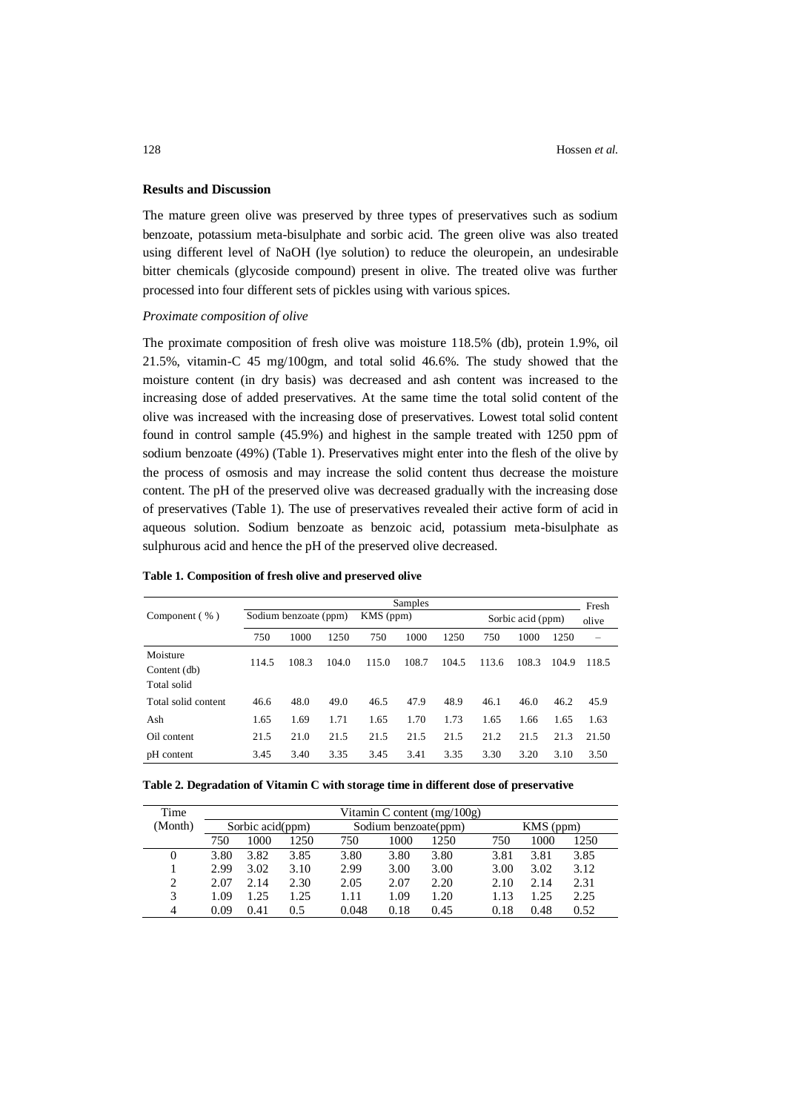## **Results and Discussion**

The mature green olive was preserved by three types of preservatives such as sodium benzoate, potassium meta-bisulphate and sorbic acid. The green olive was also treated using different level of NaOH (lye solution) to reduce the oleuropein, an undesirable bitter chemicals (glycoside compound) present in olive. The treated olive was further processed into four different sets of pickles using with various spices.

#### *Proximate composition of olive*

The proximate composition of fresh olive was moisture 118.5% (db), protein 1.9%, oil 21.5%, vitamin-C 45 mg/100gm, and total solid 46.6%. The study showed that the moisture content (in dry basis) was decreased and ash content was increased to the increasing dose of added preservatives. At the same time the total solid content of the olive was increased with the increasing dose of preservatives. Lowest total solid content found in control sample (45.9%) and highest in the sample treated with 1250 ppm of sodium benzoate (49%) (Table 1). Preservatives might enter into the flesh of the olive by the process of osmosis and may increase the solid content thus decrease the moisture content. The pH of the preserved olive was decreased gradually with the increasing dose of preservatives (Table 1). The use of preservatives revealed their active form of acid in aqueous solution. Sodium benzoate as benzoic acid, potassium meta-bisulphate as sulphurous acid and hence the pH of the preserved olive decreased.

|                     | Samples |                       |       |           |       |       |       |                   |       | Fresh |  |
|---------------------|---------|-----------------------|-------|-----------|-------|-------|-------|-------------------|-------|-------|--|
| Component (%)       |         | Sodium benzoate (ppm) |       | KMS (ppm) |       |       |       | Sorbic acid (ppm) |       |       |  |
|                     | 750     | 1000                  | 1250  | 750       | 1000  | 1250  | 750   | 1000              | 1250  | -     |  |
| Moisture            | 114.5   | 108.3                 | 104.0 | 115.0     | 108.7 | 104.5 | 113.6 | 108.3             | 104.9 | 118.5 |  |
| Content (db)        |         |                       |       |           |       |       |       |                   |       |       |  |
| Total solid         |         |                       |       |           |       |       |       |                   |       |       |  |
| Total solid content | 46.6    | 48.0                  | 49.0  | 46.5      | 47.9  | 48.9  | 46.1  | 46.0              | 46.2  | 45.9  |  |
| Ash                 | 1.65    | 1.69                  | 1.71  | 1.65      | 1.70  | 1.73  | 1.65  | 1.66              | 1.65  | 1.63  |  |
| Oil content         | 21.5    | 21.0                  | 21.5  | 21.5      | 21.5  | 21.5  | 21.2  | 21.5              | 21.3  | 21.50 |  |
| pH content          | 3.45    | 3.40                  | 3.35  | 3.45      | 3.41  | 3.35  | 3.30  | 3.20              | 3.10  | 3.50  |  |

#### **Table 1. Composition of fresh olive and preserved olive**

| Table 2. Degradation of Vitamin C with storage time in different dose of preservative |  |  |
|---------------------------------------------------------------------------------------|--|--|
|                                                                                       |  |  |

| Time    | Vitamin C content $(mg/100g)$ |                  |      |                      |      |      |      |             |      |  |  |
|---------|-------------------------------|------------------|------|----------------------|------|------|------|-------------|------|--|--|
| (Month) |                               | Sorbic acid(ppm) |      | Sodium benzoate(ppm) |      |      |      | $KMS$ (ppm) |      |  |  |
|         | 750                           | 1000             | 1250 | 750                  | 1000 | 1250 | 750  | 1000        | 1250 |  |  |
| 0       | 3.80                          | 3.82             | 3.85 | 3.80                 | 3.80 | 3.80 | 3.81 | 3.81        | 3.85 |  |  |
|         | 2.99                          | 3.02             | 3.10 | 2.99                 | 3.00 | 3.00 | 3.00 | 3.02        | 3.12 |  |  |
| 2       | 2.07                          | 2.14             | 2.30 | 2.05                 | 2.07 | 2.20 | 2.10 | 2.14        | 2.31 |  |  |
| 3       | 1.09                          | 1.25             | 1.25 | 1.11                 | 1.09 | 1.20 | 1.13 | 1.25        | 2.25 |  |  |
| 4       | 0.09                          | 0.41             | 0.5  | 0.048                | 0.18 | 0.45 | 0.18 | 0.48        | 0.52 |  |  |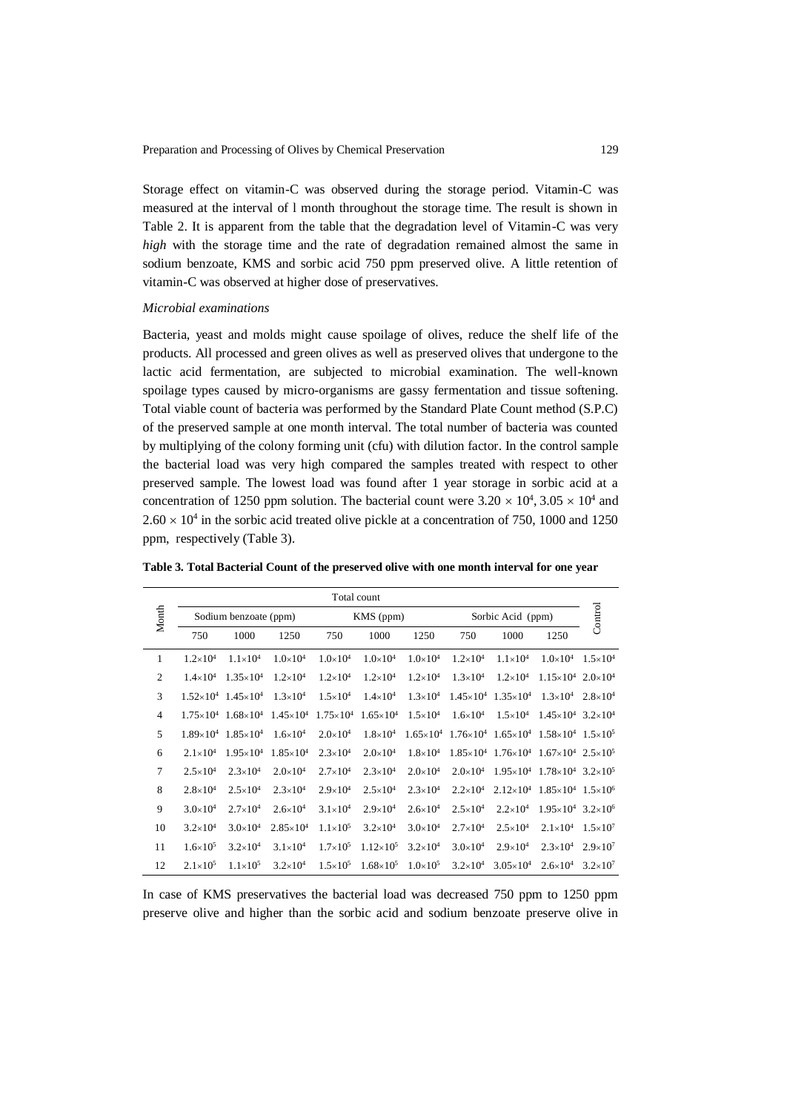Storage effect on vitamin-C was observed during the storage period. Vitamin-C was measured at the interval of l month throughout the storage time. The result is shown in Table 2. It is apparent from the table that the degradation level of Vitamin-C was very *high* with the storage time and the rate of degradation remained almost the same in sodium benzoate, KMS and sorbic acid 750 ppm preserved olive. A little retention of vitamin-C was observed at higher dose of preservatives.

#### *Microbial examinations*

Bacteria, yeast and molds might cause spoilage of olives, reduce the shelf life of the products. All processed and green olives as well as preserved olives that undergone to the lactic acid fermentation, are subjected to microbial examination. The well-known spoilage types caused by micro-organisms are gassy fermentation and tissue softening. Total viable count of bacteria was performed by the Standard Plate Count method (S.P.C) of the preserved sample at one month interval. The total number of bacteria was counted by multiplying of the colony forming unit (cfu) with dilution factor. In the control sample the bacterial load was very high compared the samples treated with respect to other preserved sample. The lowest load was found after 1 year storage in sorbic acid at a concentration of 1250 ppm solution. The bacterial count were  $3.20 \times 10^4$ ,  $3.05 \times 10^4$  and  $2.60 \times 10^4$  in the sorbic acid treated olive pickle at a concentration of 750, 1000 and 1250 ppm, respectively (Table 3).

|                | Total count         |                                                            |                      |                     |                                       |                     |                     |                                                                                               |                                                           |                     |  |  |
|----------------|---------------------|------------------------------------------------------------|----------------------|---------------------|---------------------------------------|---------------------|---------------------|-----------------------------------------------------------------------------------------------|-----------------------------------------------------------|---------------------|--|--|
| Month          |                     | Sodium benzoate (ppm)                                      |                      |                     | KMS (ppm)                             |                     |                     | Sorbic Acid (ppm)                                                                             |                                                           | Control             |  |  |
|                | 750                 | 1000                                                       | 1250                 | 750                 | 1000                                  | 1250                | 750                 | 1000                                                                                          | 1250                                                      |                     |  |  |
| 1              | $1.2\times10^{4}$   | $1.1\times10^{4}$                                          | $1.0\times10^{4}$    | $1.0\times10^{4}$   | $1.0\times10^{4}$                     | $1.0\times10^{4}$   | $1.2\times10^{4}$   | $1.1\times10^{4}$                                                                             | $1.0\times10^{4}$ 1.5 $\times10^{4}$                      |                     |  |  |
| $\overline{c}$ | $1.4\times10^{4}$   | $1.35 \times 10^{4}$                                       | $1.2\times10^{4}$    | $1.2\times10^{4}$   | $1.2\times10^{4}$                     | $1.2\times10^{4}$   | $1.3\times10^{4}$   | $1.2\times10^{4}$                                                                             | $1.15\times10^{4}$ $2.0\times10^{4}$                      |                     |  |  |
| 3              |                     | $1.52\times10^{4}$ 1.45 $\times10^{4}$                     | $1.3\times10^{4}$    | $1.5 \times 10^{4}$ | $1.4\times10^{4}$                     | $1.3\times10^{4}$   |                     | $1.45\times10^{4}$ 1.35 $\times10^{4}$                                                        | $1.3\times10^{4}$                                         | $2.8 \times 10^{4}$ |  |  |
| $\overline{4}$ |                     | $1.75\times10^{4}$ 1.68 $\times10^{4}$ 1.45 $\times10^{4}$ |                      |                     | $1.75\times10^{4}$ $1.65\times10^{4}$ | $1.5 \times 10^{4}$ | $1.6\times10^{4}$   | $1.5 \times 10^{4}$                                                                           | $1.45\times10^{4}$ 3.2×10 <sup>4</sup>                    |                     |  |  |
| 5              | $1.89\times10^{4}$  | $1.85 \times 10^{4}$                                       | $1.6\times10^{4}$    | $2.0\times10^{4}$   | $1.8\times10^{4}$                     |                     |                     | $1.65 \times 10^4$ $1.76 \times 10^4$ $1.65 \times 10^4$ $1.58 \times 10^4$ $1.5 \times 10^5$ |                                                           |                     |  |  |
| 6              | $2.1 \times 10^{4}$ | $1.95 \times 10^{4}$                                       | $1.85 \times 10^{4}$ | $2.3 \times 10^{4}$ | $2.0\times10^{4}$                     | $1.8\times10^{4}$   |                     | $1.85\times10^{4}$ $1.76\times10^{4}$ $1.67\times10^{4}$ $2.5\times10^{5}$                    |                                                           |                     |  |  |
| 7              | $2.5 \times 10^{4}$ | $2.3\times10^{4}$                                          | $2.0\times10^{4}$    | $2.7\times10^{4}$   | $2.3\times10^{4}$                     | $2.0\times10^{4}$   | $2.0\times10^{4}$   | $1.95 \times 10^4$ $1.78 \times 10^4$ $3.2 \times 10^5$                                       |                                                           |                     |  |  |
| 8              | $2.8\times10^{4}$   | $2.5 \times 10^{4}$                                        | $2.3\times10^{4}$    | $2.9\times10^{4}$   | $2.5 \times 10^{4}$                   | $2.3\times10^{4}$   | $2.2\times10^{4}$   |                                                                                               | $2.12\times10^{4}$ 1.85 $\times10^{4}$ 1.5 $\times10^{6}$ |                     |  |  |
| 9              | $3.0\times10^{4}$   | $2.7\times10^{4}$                                          | $2.6 \times 10^{4}$  | $3.1\times10^{4}$   | $2.9\times10^{4}$                     | $2.6 \times 10^{4}$ | $2.5 \times 10^{4}$ | $2.2\times10^{4}$                                                                             | $1.95 \times 10^4$ 3.2×10 <sup>6</sup>                    |                     |  |  |
| 10             | $3.2\times10^{4}$   | $3.0\times10^{4}$                                          | $2.85 \times 10^{4}$ | $1.1\times10^{5}$   | $3.2\times10^{4}$                     | $3.0\times10^{4}$   | $2.7\times10^{4}$   | $2.5 \times 10^{4}$                                                                           | $2.1 \times 10^4$ $1.5 \times 10^7$                       |                     |  |  |
| 11             | $1.6\times10^{5}$   | $3.2\times10^{4}$                                          | $3.1\times10^{4}$    | $1.7\times10^{5}$   | $1.12\times10^{5}$                    | $3.2\times10^{4}$   | $3.0\times10^{4}$   | $2.9\times10^{4}$                                                                             | $2.3\times10^{4}$                                         | $2.9\times10^{7}$   |  |  |
| 12             | $2.1 \times 10^5$   | $1.1\times10^{5}$                                          | $3.2\times10^{4}$    | $1.5 \times 10^{5}$ | $1.68\times10^{5}$                    | $1.0\times10^{5}$   | $3.2\times10^{4}$   | $3.05 \times 10^{4}$                                                                          | $2.6 \times 10^{4}$                                       | $3.2\times10^{7}$   |  |  |

**Table 3. Total Bacterial Count of the preserved olive with one month interval for one year**

In case of KMS preservatives the bacterial load was decreased 750 ppm to 1250 ppm preserve olive and higher than the sorbic acid and sodium benzoate preserve olive in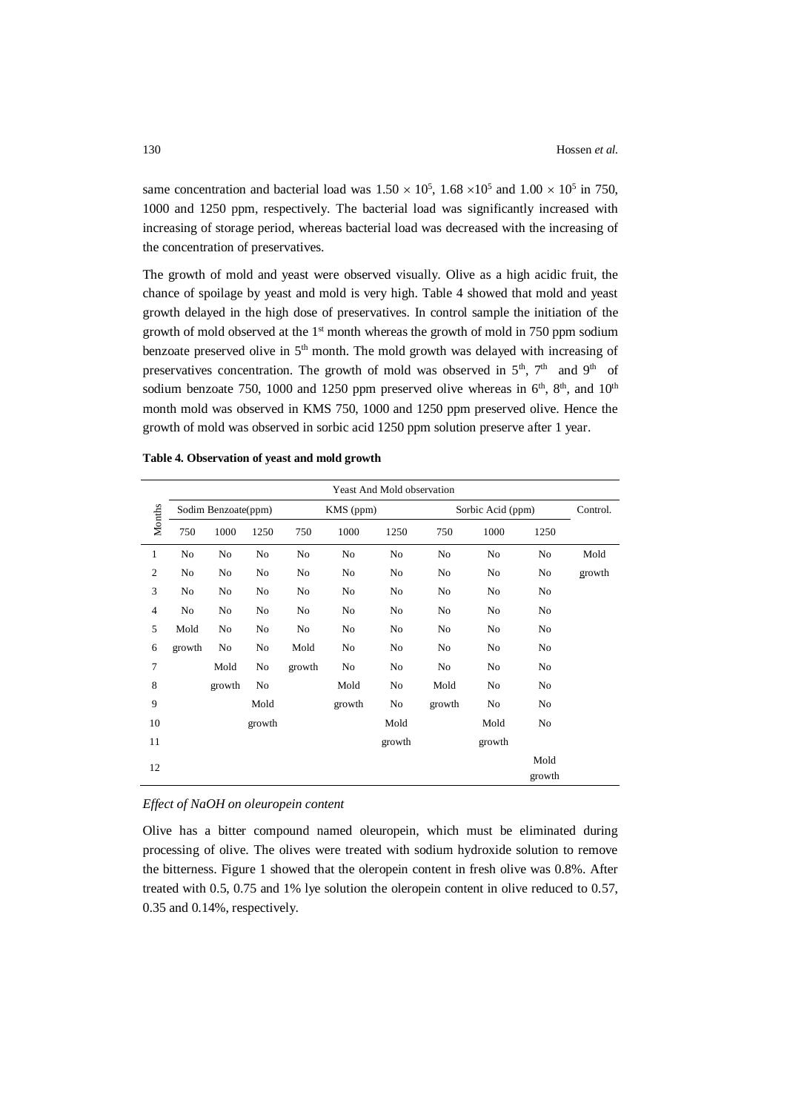same concentration and bacterial load was  $1.50 \times 10^5$ ,  $1.68 \times 10^5$  and  $1.00 \times 10^5$  in 750, 1000 and 1250 ppm, respectively. The bacterial load was significantly increased with increasing of storage period, whereas bacterial load was decreased with the increasing of the concentration of preservatives.

The growth of mold and yeast were observed visually. Olive as a high acidic fruit, the chance of spoilage by yeast and mold is very high. Table 4 showed that mold and yeast growth delayed in the high dose of preservatives. In control sample the initiation of the growth of mold observed at the  $1<sup>st</sup>$  month whereas the growth of mold in 750 ppm sodium benzoate preserved olive in 5<sup>th</sup> month. The mold growth was delayed with increasing of preservatives concentration. The growth of mold was observed in  $5<sup>th</sup>$ ,  $7<sup>th</sup>$  and  $9<sup>th</sup>$  of sodium benzoate 750, 1000 and 1250 ppm preserved olive whereas in  $6<sup>th</sup>$ ,  $8<sup>th</sup>$ , and  $10<sup>th</sup>$ month mold was observed in KMS 750, 1000 and 1250 ppm preserved olive. Hence the growth of mold was observed in sorbic acid 1250 ppm solution preserve after 1 year.

|                | Yeast And Mold observation |                                  |                |        |        |        |                   |        |                |        |  |  |  |
|----------------|----------------------------|----------------------------------|----------------|--------|--------|--------|-------------------|--------|----------------|--------|--|--|--|
|                |                            | Sodim Benzoate(ppm)<br>KMS (ppm) |                |        |        |        | Sorbic Acid (ppm) |        |                |        |  |  |  |
| Months         | 750                        | 1000                             | 1250           | 750    | 1000   | 1250   | 750               | 1000   | 1250           |        |  |  |  |
| 1              | No                         | No                               | No             | No     | No     | No     | No                | No     | No             | Mold   |  |  |  |
| $\mathfrak{2}$ | No                         | No                               | N <sub>0</sub> | No     | No     | No     | No                | No     | No             | growth |  |  |  |
| 3              | No                         | No                               | N <sub>0</sub> | No     | No     | No     | No                | No     | No             |        |  |  |  |
| $\overline{4}$ | No                         | No                               | No             | No     | No     | No     | No                | No     | No             |        |  |  |  |
| 5              | Mold                       | No                               | No             | No     | No     | No     | No                | No     | No             |        |  |  |  |
| 6              | growth                     | No                               | No             | Mold   | No     | No     | No                | No     | No             |        |  |  |  |
| 7              |                            | Mold                             | No             | growth | No     | No     | No                | No     | No             |        |  |  |  |
| 8              |                            | growth                           | No             |        | Mold   | No     | Mold              | No     | No             |        |  |  |  |
| 9              |                            |                                  | Mold           |        | growth | No     | growth            | No     | No             |        |  |  |  |
| 10             |                            |                                  | growth         |        |        | Mold   |                   | Mold   | No             |        |  |  |  |
| 11             |                            |                                  |                |        |        | growth |                   | growth |                |        |  |  |  |
| 12             |                            |                                  |                |        |        |        |                   |        | Mold<br>growth |        |  |  |  |

**Table 4. Observation of yeast and mold growth**

#### *Effect of NaOH on oleuropein content*

Olive has a bitter compound named oleuropein, which must be eliminated during processing of olive. The olives were treated with sodium hydroxide solution to remove the bitterness. Figure 1 showed that the oleropein content in fresh olive was 0.8%. After treated with 0.5, 0.75 and 1% lye solution the oleropein content in olive reduced to 0.57, 0.35 and 0.14%, respectively.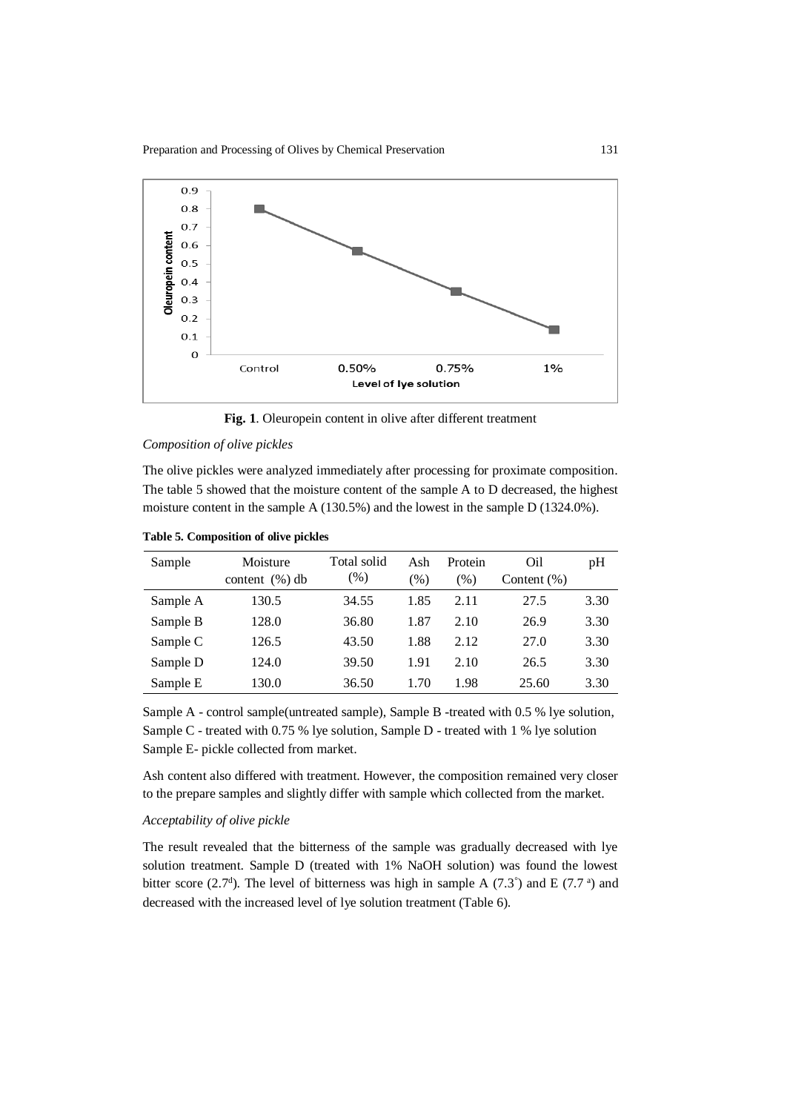

**Fig. 1**. Oleuropein content in olive after different treatment

### *Composition of olive pickles*

The olive pickles were analyzed immediately after processing for proximate composition. The table 5 showed that the moisture content of the sample A to D decreased, the highest moisture content in the sample A (130.5%) and the lowest in the sample D (1324.0%).

**Table 5. Composition of olive pickles**

| Sample   | Moisture           | Total solid | Ash           | Protein | Oil            | pH   |
|----------|--------------------|-------------|---------------|---------|----------------|------|
|          | content $(\% )$ db | $(\%)$      | $\frac{9}{6}$ | $(\%)$  | Content $(\%)$ |      |
| Sample A | 130.5              | 34.55       | 1.85          | 2.11    | 27.5           | 3.30 |
| Sample B | 128.0              | 36.80       | 1.87          | 2.10    | 26.9           | 3.30 |
| Sample C | 126.5              | 43.50       | 1.88          | 2.12    | 27.0           | 3.30 |
| Sample D | 124.0              | 39.50       | 1.91          | 2.10    | 26.5           | 3.30 |
| Sample E | 130.0              | 36.50       | 1.70          | 1.98    | 25.60          | 3.30 |

Sample A - control sample(untreated sample), Sample B -treated with 0.5 % lye solution, Sample C - treated with 0.75 % lye solution, Sample D - treated with 1 % lye solution Sample E- pickle collected from market.

Ash content also differed with treatment. However, the composition remained very closer to the prepare samples and slightly differ with sample which collected from the market.

## *Acceptability of olive pickle*

The result revealed that the bitterness of the sample was gradually decreased with lye solution treatment. Sample D (treated with 1% NaOH solution) was found the lowest bitter score (2.7<sup>d</sup>). The level of bitterness was high in sample A (7.3<sup>°</sup>) and E (7.7<sup>a</sup>) and decreased with the increased level of lye solution treatment (Table 6).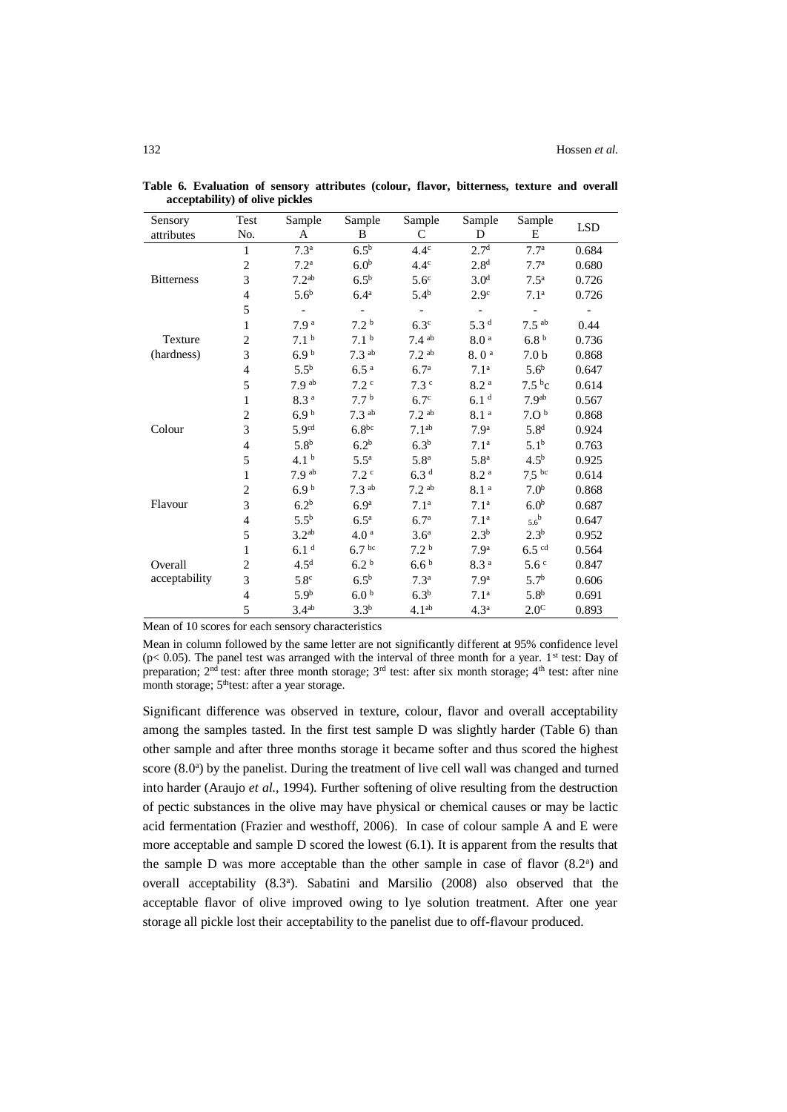| Sensory           | Test                     | Sample            | Sample              | Sample              | Sample           | Sample              | <b>LSD</b> |
|-------------------|--------------------------|-------------------|---------------------|---------------------|------------------|---------------------|------------|
| attributes        | No.                      | A                 | B                   | $\mathsf{C}$        | D                | E                   |            |
|                   | $\mathbf{1}$             | 7.3 <sup>a</sup>  | $6.5^{\rm b}$       | $4.4^\circ$         | 2.7 <sup>d</sup> | 7.7 <sup>a</sup>    | 0.684      |
|                   | $\sqrt{2}$               | 7.2 <sup>a</sup>  | 6.0 <sup>b</sup>    | $4.4^\circ$         | 2.8 <sup>d</sup> | 7.7 <sup>a</sup>    | 0.680      |
| <b>Bitterness</b> | 3                        | 7.2 <sup>ab</sup> | 6.5 <sup>b</sup>    | 5.6 <sup>c</sup>    | 3.0 <sup>d</sup> | 7.5 <sup>a</sup>    | 0.726      |
|                   | $\overline{4}$           | 5.6 <sup>b</sup>  | 6.4 <sup>a</sup>    | $5.4^{b}$           | 2.9 <sup>c</sup> | 7.1 <sup>a</sup>    | 0.726      |
|                   | 5                        |                   |                     |                     |                  |                     |            |
|                   | 1                        | 7.9 <sup>a</sup>  | $7.2^{\mathrm{b}}$  | 6.3 <sup>c</sup>    | 5.3 <sup>d</sup> | $7.5$ <sup>ab</sup> | 0.44       |
| Texture           | $\overline{c}$           | 7.1 <sup>b</sup>  | 7.1 <sup>b</sup>    | $7.4$ ab            | 8.0 <sup>a</sup> | 6.8 <sup>b</sup>    | 0.736      |
| (hardness)        | 3                        | 6.9 <sup>b</sup>  | $7.3$ ab            | 7.2 <sup>ab</sup>   | 8.0 <sup>a</sup> | 7.0 <sub>b</sub>    | 0.868      |
|                   | $\overline{\mathcal{L}}$ | $5.5^{b}$         | 6.5 <sup>a</sup>    | 6.7 <sup>a</sup>    | 7.1 <sup>a</sup> | 5.6 <sup>b</sup>    | 0.647      |
|                   | 5                        | 7.9 <sup>ab</sup> | 7.2 <sup>c</sup>    | 7.3 <sup>c</sup>    | 8.2 <sup>a</sup> | 7.5 <sup>b</sup> c  | 0.614      |
|                   | $\mathbf{1}$             | 8.3 <sup>a</sup>  | 7.7 <sup>b</sup>    | 6.7 <sup>c</sup>    | 6.1 <sup>d</sup> | 7.9 <sup>ab</sup>   | 0.567      |
|                   | $\sqrt{2}$               | 6.9 <sup>b</sup>  | $7.3$ <sup>ab</sup> | $7.2$ <sup>ab</sup> | $8.1\,^{\rm a}$  | 7.0 <sup>b</sup>    | 0.868      |
| Colour            | 3                        | 5.9 <sup>cd</sup> | $6.8^{bc}$          | 7.1 <sup>ab</sup>   | 7.9 <sup>a</sup> | 5.8 <sup>d</sup>    | 0.924      |
|                   | $\overline{4}$           | 5.8 <sup>b</sup>  | 6.2 <sup>b</sup>    | 6.3 <sup>b</sup>    | 7.1 <sup>a</sup> | 5.1 <sup>b</sup>    | 0.763      |
|                   | 5                        | 4.1 <sup>b</sup>  | $5.5^{\mathrm{a}}$  | 5.8 <sup>a</sup>    | 5.8 <sup>a</sup> | 4.5 <sup>b</sup>    | 0.925      |
|                   | $\mathbf{1}$             | 7.9 <sup>ab</sup> | 7.2 <sup>c</sup>    | 6.3 <sup>d</sup>    | $8.2\,^{\rm a}$  | $7.5$ bc            | 0.614      |
|                   | $\overline{c}$           | 6.9 <sup>b</sup>  | $7.3$ <sup>ab</sup> | 7.2 <sup>ab</sup>   | 8.1 <sup>a</sup> | 7.0 <sup>b</sup>    | 0.868      |
| Flavour           | $\overline{3}$           | 6.2 <sup>b</sup>  | 6.9 <sup>a</sup>    | 7.1 <sup>a</sup>    | 7.1 <sup>a</sup> | 6.0 <sup>b</sup>    | 0.687      |
|                   | 4                        | $5.5^{b}$         | 6.5 <sup>a</sup>    | 6.7 <sup>a</sup>    | 7.1 <sup>a</sup> | $5.6^{\mathrm{b}}$  | 0.647      |
|                   | 5                        | 3.2 <sup>ab</sup> | 4.0 <sup>a</sup>    | 3.6 <sup>a</sup>    | $2.3^{b}$        | $2.3^{b}$           | 0.952      |
|                   | $\mathbf{1}$             | 6.1 <sup>d</sup>  | 6.7 <sup>bc</sup>   | 7.2 <sup>b</sup>    | 7.9 <sup>a</sup> | $6.5$ cd            | 0.564      |
| Overall           | $\sqrt{2}$               | 4.5 <sup>d</sup>  | 6.2 <sup>b</sup>    | 6.6 <sup>b</sup>    | 8.3 <sup>a</sup> | 5.6 <sup>c</sup>    | 0.847      |
| acceptability     | 3                        | 5.8 <sup>c</sup>  | $6.5^{b}$           | 7.3 <sup>a</sup>    | 7.9 <sup>a</sup> | 5.7 <sup>b</sup>    | 0.606      |
|                   | $\overline{4}$           | 5.9 <sup>b</sup>  | 6.0 <sup>b</sup>    | 6.3 <sup>b</sup>    | 7.1 <sup>a</sup> | 5.8 <sup>b</sup>    | 0.691      |
|                   | 5                        | 3.4 <sup>ab</sup> | $3.3^{b}$           | 4.1 <sup>ab</sup>   | 4.3 <sup>a</sup> | 2.0 <sup>C</sup>    | 0.893      |

**Table 6. Evaluation of sensory attributes (colour, flavor, bitterness, texture and overall acceptability) of olive pickles**

Mean of 10 scores for each sensory characteristics

Mean in column followed by the same letter are not significantly different at 95% confidence level ( $p$ < 0.05). The panel test was arranged with the interval of three month for a year. 1<sup>st</sup> test: Day of preparation;  $2<sup>nd</sup>$  test: after three month storage;  $3<sup>rd</sup>$  test: after six month storage;  $4<sup>th</sup>$  test: after nine month storage; 5<sup>th</sup>test: after a year storage.

Significant difference was observed in texture, colour, flavor and overall acceptability among the samples tasted. In the first test sample D was slightly harder (Table 6) than other sample and after three months storage it became softer and thus scored the highest score (8.0<sup>a</sup>) by the panelist. During the treatment of live cell wall was changed and turned into harder (Araujo *et al.,* 1994). Further softening of olive resulting from the destruction of pectic substances in the olive may have physical or chemical causes or may be lactic acid fermentation (Frazier and westhoff, 2006). In case of colour sample A and E were more acceptable and sample D scored the lowest (6.1). It is apparent from the results that the sample  $D$  was more acceptable than the other sample in case of flavor  $(8.2<sup>a</sup>)$  and overall acceptability (8.3<sup>a</sup>). Sabatini and Marsilio (2008) also observed that the acceptable flavor of olive improved owing to lye solution treatment. After one year storage all pickle lost their acceptability to the panelist due to off-flavour produced.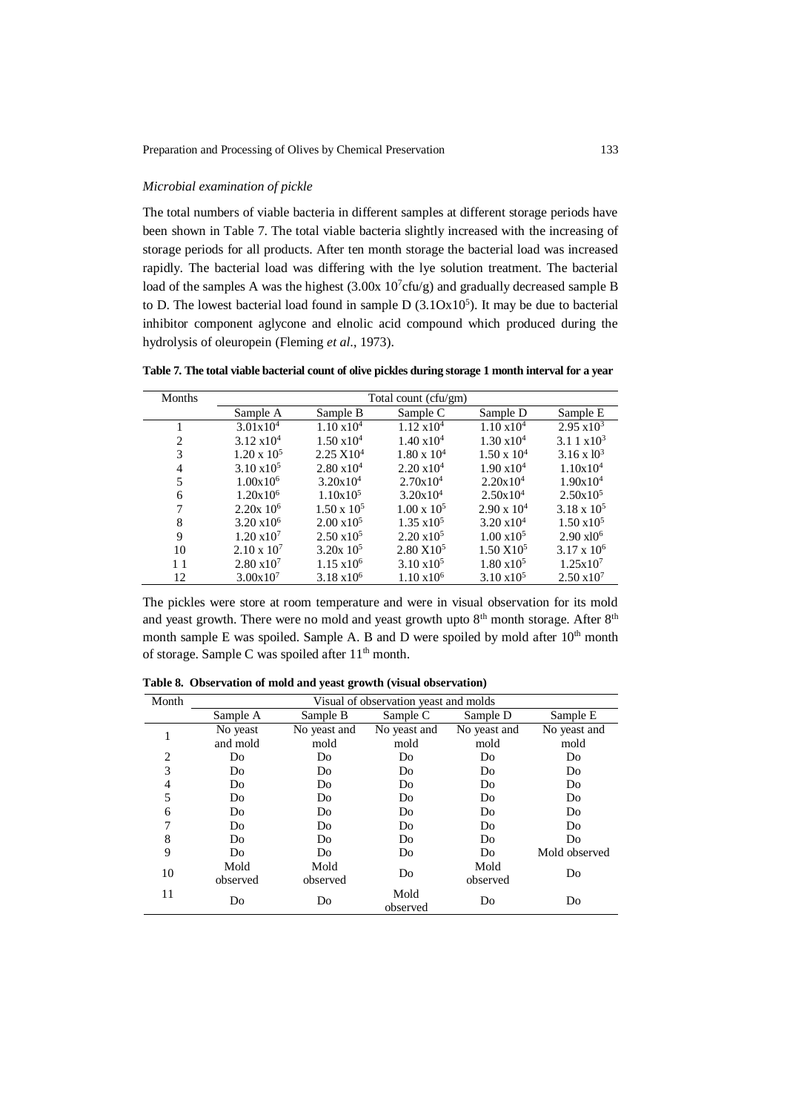## *Microbial examination of pickle*

The total numbers of viable bacteria in different samples at different storage periods have been shown in Table 7. The total viable bacteria slightly increased with the increasing of storage periods for all products. After ten month storage the bacterial load was increased rapidly. The bacterial load was differing with the lye solution treatment. The bacterial load of the samples A was the highest  $(3.00x\ 10^7$ cfu/g) and gradually decreased sample B to D. The lowest bacterial load found in sample  $D(3.10x10^5)$ . It may be due to bacterial inhibitor component aglycone and elnolic acid compound which produced during the hydrolysis of oleuropein (Fleming *et al*., 1973).

**Table 7. The total viable bacterial count of olive pickles during storage 1 month interval for a year**

| Months |                         |                      | Total count (cfu/gm) |                      |                       |
|--------|-------------------------|----------------------|----------------------|----------------------|-----------------------|
|        | Sample A                | Sample B             | Sample C             | Sample D             | Sample E              |
|        | $3.01x10^4$             | $1.10 \times 10^{4}$ | $1.12 \times 10^{4}$ | $1.10 \times 10^{4}$ | $2.95 \times 10^3$    |
| 2      | $3.12 \times 10^{4}$    | $1.50 \times 10^{4}$ | $1.40 \times 10^{4}$ | $1.30 \times 10^{4}$ | $3.11 \times 10^3$    |
| 3      | $1.20 \times 10^5$      | $2.25 \times 10^4$   | $1.80 \times 10^4$   | $1.50 \times 10^{4}$ | $3.16 \times 10^3$    |
| 4      | $3.10 \times 10^5$      | $2.80 \times 10^{4}$ | $2.20 \times 10^{4}$ | $1.90 \times 10^{4}$ | $1.10x10^4$           |
| 5      | $1.00x10^6$             | $3.20x10^4$          | $2.70x10^4$          | $2.20x10^4$          | $1.90x10^4$           |
| 6      | 1.20x10 <sup>6</sup>    | 1.10x10 <sup>5</sup> | $3.20x10^4$          | $2.50x10^4$          | $2.50x10^5$           |
| 7      | $2.20x$ 10 <sup>6</sup> | $1.50 \times 10^5$   | $1.00 \times 10^5$   | $2.90 \times 10^{4}$ | $3.18 \times 10^{5}$  |
| 8      | $3.20 \times 10^6$      | $2.00 \times 10^5$   | $1.35 \times 10^5$   | $3.20 \times 10^{4}$ | $1.50 \times 10^5$    |
| 9      | $1.20 \times 10^7$      | $2.50 \times 10^5$   | $2.20 \times 10^5$   | $1.00 \times 10^5$   | $2.90 \text{ x} 10^6$ |
| 10     | $2.10 \times 10^{7}$    | $3.20x\;10^5$        | $2.80 \times 10^5$   | $1.50 \text{ X}10^5$ | $3.17 \times 10^{6}$  |
| 11     | $2.80 \times 10^7$      | $1.15 \times 10^6$   | $3.10 \times 10^{5}$ | $1.80 \times 10^5$   | 1.25x10 <sup>7</sup>  |
| 12     | $3.00x10^{7}$           | $3.18 \times 10^{6}$ | $1.10 \times 10^6$   | $3.10 \times 10^5$   | $2.50 \times 10^7$    |

The pickles were store at room temperature and were in visual observation for its mold and yeast growth. There were no mold and yeast growth upto 8<sup>th</sup> month storage. After 8<sup>th</sup> month sample E was spoiled. Sample A. B and D were spoiled by mold after  $10<sup>th</sup>$  month of storage. Sample C was spoiled after 11<sup>th</sup> month.

| Table 8. Observation of mold and yeast growth (visual observation) |
|--------------------------------------------------------------------|
|--------------------------------------------------------------------|

| Month |          |              | Visual of observation yeast and molds |              |               |
|-------|----------|--------------|---------------------------------------|--------------|---------------|
|       | Sample A | Sample B     | Sample C                              | Sample D     | Sample E      |
|       | No yeast | No yeast and | No yeast and                          | No yeast and | No yeast and  |
|       | and mold | mold         | mold                                  | mold         | mold          |
| 2     | Do       | Do           | Do                                    | Do           | Do            |
| 3     | Do       | Do           | Do                                    | Do           | Do            |
| 4     | Do       | Do           | Do                                    | Do           | Do            |
| 5     | Do       | Do           | Do                                    | Do           | Do            |
| 6     | Do       | Do           | Do                                    | Do           | Do            |
| 7     | Do       | Do           | Do                                    | Do           | Do            |
| 8     | Do       | Do           | Do                                    | Do           | Do            |
| 9     | Do       | Do           | Do                                    | Do           | Mold observed |
| 10    | Mold     | Mold         | Do                                    | Mold         | Do            |
|       | observed | observed     |                                       | observed     |               |
| 11    | Do       | Do           | Mold<br>observed                      | Do           | Do            |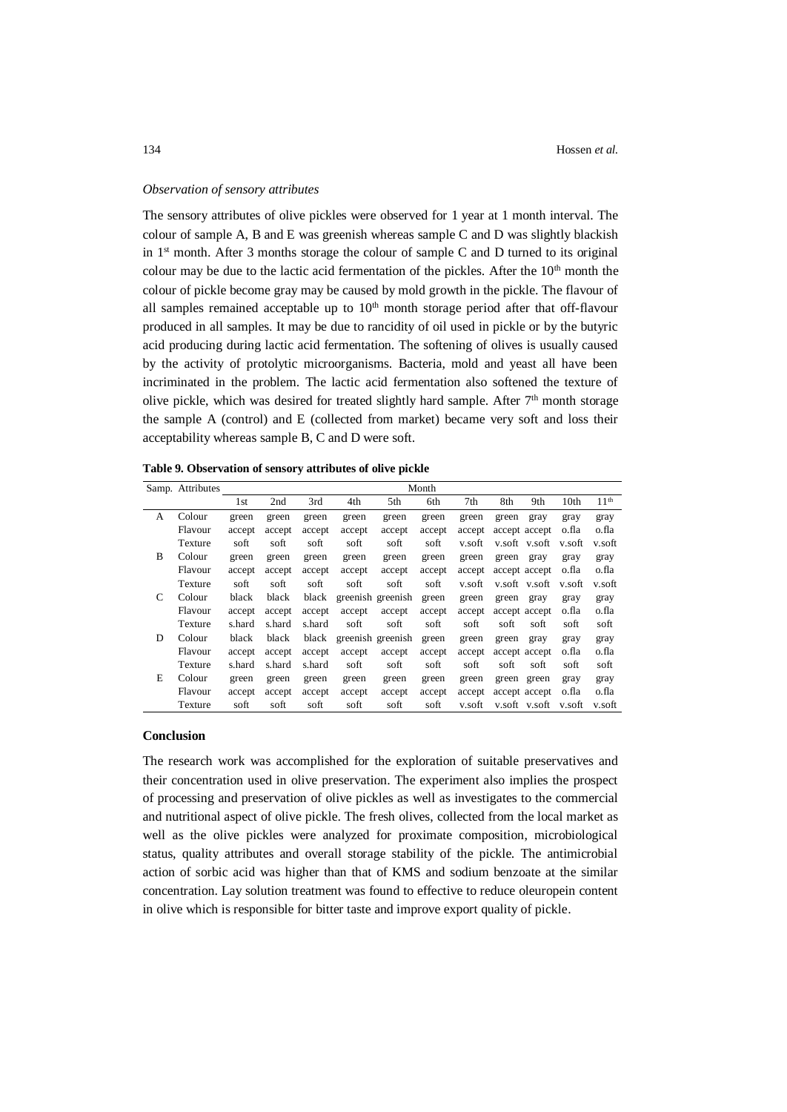#### *Observation of sensory attributes*

The sensory attributes of olive pickles were observed for 1 year at 1 month interval. The colour of sample A, B and E was greenish whereas sample C and D was slightly blackish in  $1<sup>st</sup>$  month. After 3 months storage the colour of sample C and D turned to its original colour may be due to the lactic acid fermentation of the pickles. After the  $10<sup>th</sup>$  month the colour of pickle become gray may be caused by mold growth in the pickle. The flavour of all samples remained acceptable up to  $10<sup>th</sup>$  month storage period after that off-flavour produced in all samples. It may be due to rancidity of oil used in pickle or by the butyric acid producing during lactic acid fermentation. The softening of olives is usually caused by the activity of protolytic microorganisms. Bacteria, mold and yeast all have been incriminated in the problem. The lactic acid fermentation also softened the texture of olive pickle, which was desired for treated slightly hard sample. After  $7<sup>th</sup>$  month storage the sample A (control) and E (collected from market) became very soft and loss their acceptability whereas sample B, C and D were soft.

**Table 9. Observation of sensory attributes of olive pickle**

|   | Samp. Attributes |        |                 |        |        |                   | Month  |        |               |       |                  |                  |
|---|------------------|--------|-----------------|--------|--------|-------------------|--------|--------|---------------|-------|------------------|------------------|
|   |                  | 1st    | 2 <sub>nd</sub> | 3rd    | 4th    | 5th               | 6th    | 7th    | 8th           | 9th   | 10 <sub>th</sub> | 11 <sup>th</sup> |
| A | Colour           | green  | green           | green  | green  | green             | green  | green  | green         | gray  | gray             | gray             |
|   | Flavour          | accept | accept          | accept | accept | accept            | accept | accept | accept accept |       | o.fla            | o.fla            |
|   | Texture          | soft   | soft            | soft   | soft   | soft              | soft   | v.soft | v.soft v.soft |       | v.soft           | v.soft           |
| B | Colour           | green  | green           | green  | green  | green             | green  | green  | green         | gray  | gray             | gray             |
|   | Flavour          | accept | accept          | accept | accept | accept            | accept | accept | accept accept |       | o.fla            | o.fla            |
|   | Texture          | soft   | soft            | soft   | soft   | soft              | soft   | v.soft | v.soft v.soft |       | v.soft           | v.soft           |
| C | Colour           | black  | black           | black  |        | greenish greenish | green  | green  | green         | gray  | gray             | gray             |
|   | Flavour          | accept | accept          | accept | accept | accept            | accept | accept | accept accept |       | o.fla            | o.fla            |
|   | Texture          | s.hard | s.hard          | s.hard | soft   | soft              | soft   | soft   | soft          | soft  | soft             | soft             |
| D | Colour           | black  | black           | black  |        | greenish greenish | green  | green  | green         | gray  | gray             | gray             |
|   | Flavour          | accept | accept          | accept | accept | accept            | accept | accept | accept accept |       | o.fla            | o.fla            |
|   | Texture          | s.hard | s.hard          | s.hard | soft   | soft              | soft   | soft   | soft          | soft  | soft             | soft             |
| Е | Colour           | green  | green           | green  | green  | green             | green  | green  | green         | green | gray             | gray             |
|   | Flavour          | accept | accept          | accept | accept | accept            | accept | accept | accept accept |       | o.fla            | o.fla            |
|   | Texture          | soft   | soft            | soft   | soft   | soft              | soft   | v.soft | v.soft v.soft |       | v.soft           | v.soft           |

### **Conclusion**

The research work was accomplished for the exploration of suitable preservatives and their concentration used in olive preservation. The experiment also implies the prospect of processing and preservation of olive pickles as well as investigates to the commercial and nutritional aspect of olive pickle. The fresh olives, collected from the local market as well as the olive pickles were analyzed for proximate composition, microbiological status, quality attributes and overall storage stability of the pickle. The antimicrobial action of sorbic acid was higher than that of KMS and sodium benzoate at the similar concentration. Lay solution treatment was found to effective to reduce oleuropein content in olive which is responsible for bitter taste and improve export quality of pickle.